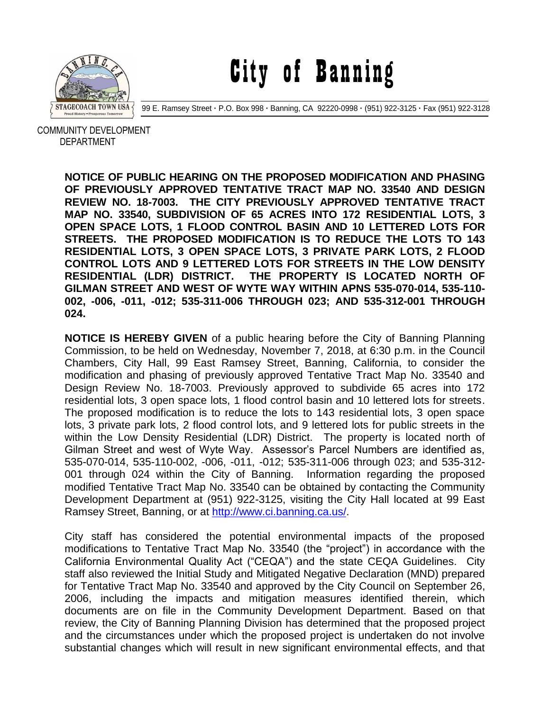

City of Banning

99 E. Ramsey Street **·** P.O. Box 998 **·** Banning, CA 92220-0998 **·** (951) 922-3125 **·** Fax (951) 922-3128

 COMMUNITY DEVELOPMENT DEPARTMENT

> **NOTICE OF PUBLIC HEARING ON THE PROPOSED MODIFICATION AND PHASING OF PREVIOUSLY APPROVED TENTATIVE TRACT MAP NO. 33540 AND DESIGN REVIEW NO. 18-7003. THE CITY PREVIOUSLY APPROVED TENTATIVE TRACT MAP NO. 33540, SUBDIVISION OF 65 ACRES INTO 172 RESIDENTIAL LOTS, 3 OPEN SPACE LOTS, 1 FLOOD CONTROL BASIN AND 10 LETTERED LOTS FOR STREETS. THE PROPOSED MODIFICATION IS TO REDUCE THE LOTS TO 143 RESIDENTIAL LOTS, 3 OPEN SPACE LOTS, 3 PRIVATE PARK LOTS, 2 FLOOD CONTROL LOTS AND 9 LETTERED LOTS FOR STREETS IN THE LOW DENSITY RESIDENTIAL (LDR) DISTRICT. THE PROPERTY IS LOCATED NORTH OF GILMAN STREET AND WEST OF WYTE WAY WITHIN APNS 535-070-014, 535-110- 002, -006, -011, -012; 535-311-006 THROUGH 023; AND 535-312-001 THROUGH 024.**

> **NOTICE IS HEREBY GIVEN** of a public hearing before the City of Banning Planning Commission, to be held on Wednesday, November 7, 2018, at 6:30 p.m. in the Council Chambers, City Hall, 99 East Ramsey Street, Banning, California, to consider the modification and phasing of previously approved Tentative Tract Map No. 33540 and Design Review No. 18-7003. Previously approved to subdivide 65 acres into 172 residential lots, 3 open space lots, 1 flood control basin and 10 lettered lots for streets. The proposed modification is to reduce the lots to 143 residential lots, 3 open space lots, 3 private park lots, 2 flood control lots, and 9 lettered lots for public streets in the within the Low Density Residential (LDR) District. The property is located north of Gilman Street and west of Wyte Way. Assessor's Parcel Numbers are identified as, 535-070-014, 535-110-002, -006, -011, -012; 535-311-006 through 023; and 535-312- 001 through 024 within the City of Banning. Information regarding the proposed modified Tentative Tract Map No. 33540 can be obtained by contacting the Community Development Department at (951) 922-3125, visiting the City Hall located at 99 East Ramsey Street, Banning, or at [http://www.ci.banning.ca.us/.](http://www.ci.banning.ca.us/)

> City staff has considered the potential environmental impacts of the proposed modifications to Tentative Tract Map No. 33540 (the "project") in accordance with the California Environmental Quality Act ("CEQA") and the state CEQA Guidelines. City staff also reviewed the Initial Study and Mitigated Negative Declaration (MND) prepared for Tentative Tract Map No. 33540 and approved by the City Council on September 26, 2006, including the impacts and mitigation measures identified therein, which documents are on file in the Community Development Department. Based on that review, the City of Banning Planning Division has determined that the proposed project and the circumstances under which the proposed project is undertaken do not involve substantial changes which will result in new significant environmental effects, and that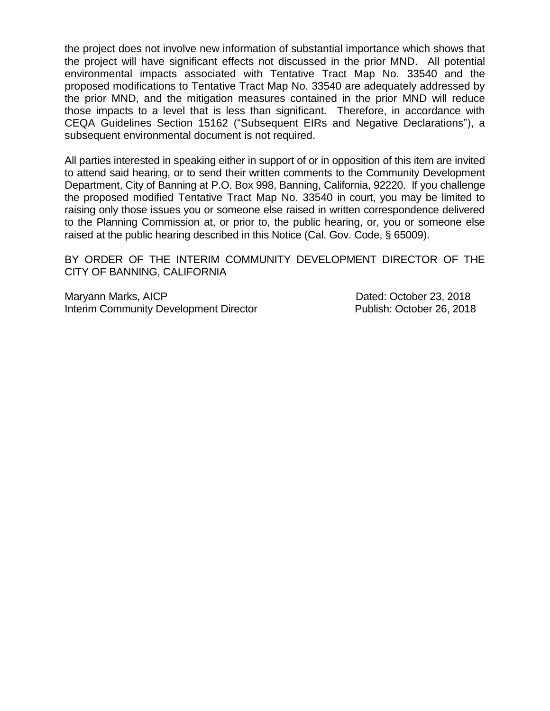the project does not involve new information of substantial importance which shows that the project will have significant effects not discussed in the prior MND. All potential environmental impacts associated with Tentative Tract Map No. 33540 and the proposed modifications to Tentative Tract Map No. 33540 are adequately addressed by the prior MND, and the mitigation measures contained in the prior MND will reduce those impacts to a level that is less than significant. Therefore, in accordance with CEQA Guidelines Section 15162 ("Subsequent EIRs and Negative Declarations"), a subsequent environmental document is not required.

All parties interested in speaking either in support of or in opposition of this item are invited to attend said hearing, or to send their written comments to the Community Development Department, City of Banning at P.O. Box 998, Banning, California, 92220. If you challenge the proposed modified Tentative Tract Map No. 33540 in court, you may be limited to raising only those issues you or someone else raised in written correspondence delivered to the Planning Commission at, or prior to, the public hearing, or, you or someone else raised at the public hearing described in this Notice (Cal. Gov. Code, § 65009).

BY ORDER OF THE INTERIM COMMUNITY DEVELOPMENT DIRECTOR OF THE CITY OF BANNING, CALIFORNIA

Maryann Marks, AICP **Dated: October 23, 2018** Interim Community Development Director **Publish: October 26, 2018**